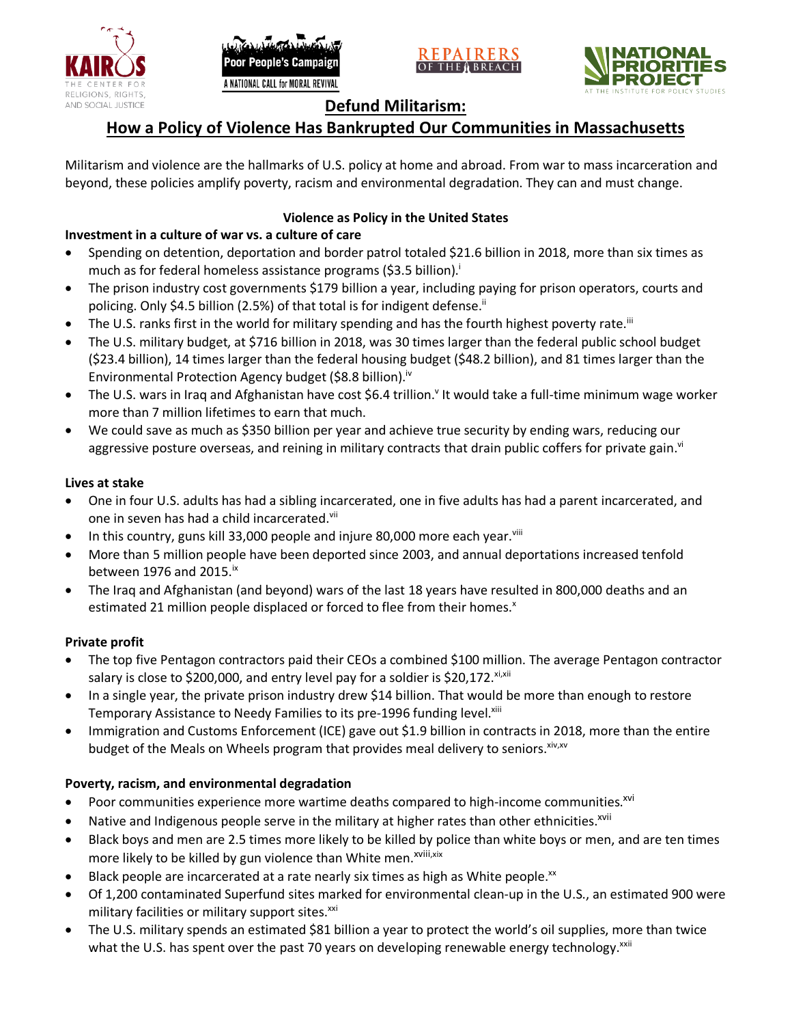





# **Defund Militarism:**

# **How a Policy of Violence Has Bankrupted Our Communities in Massachusetts**

Militarism and violence are the hallmarks of U.S. policy at home and abroad. From war to mass incarceration and beyond, these policies amplify poverty, racism and environmental degradation. They can and must change.

## **Violence as Policy in the United States**

## **Investment in a culture of war vs. a culture of care**

- Spending on detention, deportation and border patrol totaled \$21.6 billion in 2018, more than six times as much as for federal homeless assistance programs (\$3.5 billion).<sup>i</sup>
- The prison industry cost governments \$179 billion a year, including paying for prison operators, courts and policing. Only \$4.5 billion (2.5%) of that total is for indigent defense.<sup>ii</sup>
- The U.S. ranks first in the world for military spending and has the fourth highest poverty rate.<sup>iii</sup>
- The U.S. military budget, at \$716 billion in 2018, was 30 times larger than the federal public school budget (\$23.4 billion), 14 times larger than the federal housing budget (\$48.2 billion), and 81 times larger than the Environmental Protection Agency budget (\$8.8 billion).<sup>iv</sup>
- The U.S. wars in Iraq and Afghanistan have cost \$6.4 trillion.<sup>v</sup> It would take a full-time minimum wage worker more than 7 million lifetimes to earn that much.
- We could save as much as \$350 billion per year and achieve true security by ending wars, reducing our aggressive posture overseas, and reining in military contracts that drain public coffers for private gain.<sup>vi</sup>

### **Lives at stake**

- One in four U.S. adults has had a sibling incarcerated, one in five adults has had a parent incarcerated, and one in seven has had a child incarcerated.vii
- In this country, guns kill 33,000 people and injure 80,000 more each year. $v_{\text{lin}}$
- More than 5 million people have been deported since 2003, and annual deportations increased tenfold between 1976 and 2015. $\mathrm{i}$ <sup>x</sup>
- The Iraq and Afghanistan (and beyond) wars of the last 18 years have resulted in 800,000 deaths and an estimated 21 million people displaced or forced to flee from their homes.<sup>x</sup>

### **Private profit**

- The top five Pentagon contractors paid their CEOs a combined \$100 million. The average Pentagon contractor salary is close to \$200,000, and entry level pay for a soldier is \$20,172. xi,xii
- In a single year, the private prison industry drew \$14 billion. That would be more than enough to restore Temporary Assistance to Needy Families to its pre-1996 funding level.<sup>xiii</sup>
- Immigration and Customs Enforcement (ICE) gave out \$1.9 billion in contracts in 2018, more than the entire budget of the Meals on Wheels program that provides meal delivery to seniors. Xiv, XV

### **Poverty, racism, and environmental degradation**

- Poor communities experience more wartime deaths compared to high-income communities.<sup>xvi</sup>
- Native and Indigenous people serve in the military at higher rates than other ethnicities.<sup>xvii</sup>
- Black boys and men are 2.5 times more likely to be killed by police than white boys or men, and are ten times more likely to be killed by gun violence than White men.<sup>xviii,xix</sup>
- Black people are incarcerated at a rate nearly six times as high as White people.<sup>xx</sup>
- Of 1,200 contaminated Superfund sites marked for environmental clean-up in the U.S., an estimated 900 were military facilities or military support sites.<sup>xxi</sup>
- The U.S. military spends an estimated \$81 billion a year to protect the world's oil supplies, more than twice what the U.S. has spent over the past 70 years on developing renewable energy technology.<sup>xxii</sup>